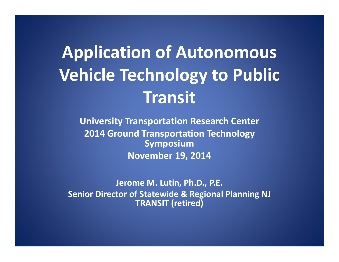# **Application of Autonomous Vehicle Technology to Public Transit**

**University Transportation Research Center 2014 Ground Transportation Technology Symposium November 19, 2014**

**Jerome M. Lutin, Ph.D., P.E. Senior Director of Statewide & Regional Planning NJ TRANSIT (retired)**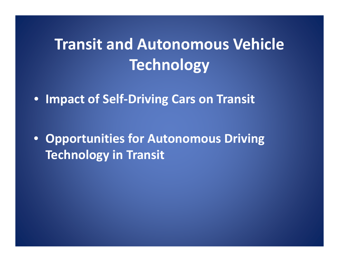## **Transit and Autonomous Vehicle Technology**

• **Impact of Self‐Driving Cars on Transit**

• **Opportunities for Autonomous Driving Technology in Transit**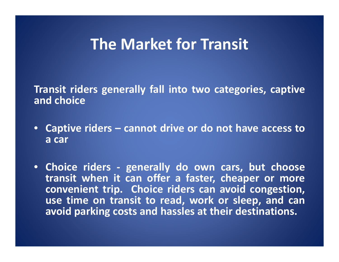### **The Market for Transit**

**Transit riders generally fall into two categories, captive and choice**

- **Captive riders – cannot drive or do not have access to a car**
- **Choice riders ‐ generally do own cars, but choose transit when it can offer <sup>a</sup> faster, cheaper or more convenient trip. Choice riders can avoid congestion, use time on transit to read, work or sleep, and can avoid parking costs and hassles at their destinations.**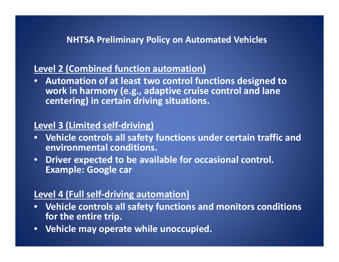#### **NHTSA Preliminary Policy on Automated Vehicles**

#### **Level 2 (Combined function automation)**

• **Automation of at least two control functions designed to work in harmony (e.g., adaptive cruise control and lane centering) in certain driving situations.**

#### **Level 3 (Limited self‐driving)**

- $\bullet$  **Vehicle controls all safety functions under certain traffic and environmental conditions.**
- $\bullet$  **Driver expected to be available for occasional control. Example: Google car**

#### **Level 4 (Full self‐driving automation)**

- $\bullet$  **Vehicle controls all safety functions and monitors conditions for the entire trip.**
- $\bullet$ **Vehicle may operate while unoccupied.**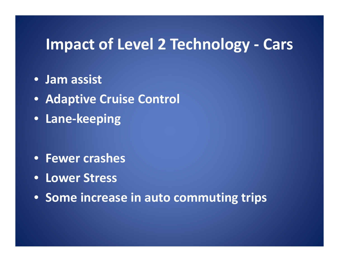### **Impact of Level 2 Technology ‐ Cars**

- **Jam assist**
- **Adaptive Cruise Control**
- **Lane‐keeping**

- **Fewer crashes**
- **Lower Stress**
- **Some increase in auto commuting trips**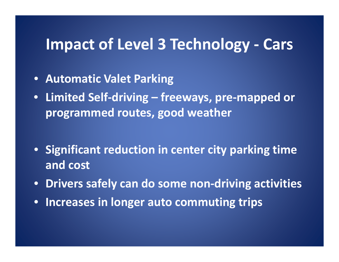### **Impact of Level 3 Technology ‐ Cars**

- **Automatic Valet Parking**
- **Limited Self‐driving – freeways, pre‐mapped or programmed routes, good weather**
- **Significant reduction in center city parking time and cost**
- •**Drivers safely can do some non‐driving activities**
- •**Increases in longer auto commuting trips**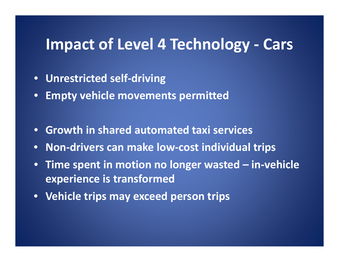### **Impact of Level 4 Technology ‐ Cars**

- $\bullet$ **Unrestricted self‐driving**
- •**Empty vehicle movements permitted**
- **Growth in shared automated taxi services**
- $\bullet$ **Non‐drivers can make low‐cost individual trips**
- $\bullet$  **Time spent in motion no longer wasted – in‐vehicle experience is transformed**
- **Vehicle trips may exceed person trips**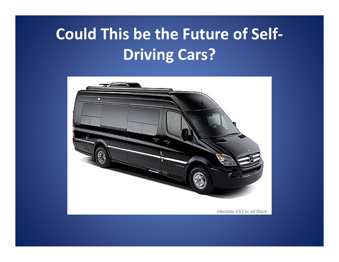## **Could This be the Future of Self‐ Driving Cars?**

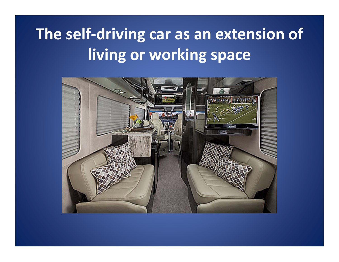## **The self‐driving car as an extension of living or working space**

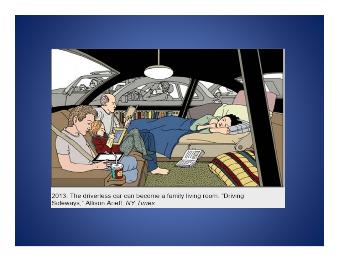

2013: The driverless car can become a family living room. "Driving Sideways," Allison Arieff, NY Times.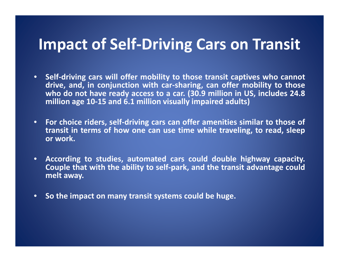### **Impact of Self‐Driving Cars on Transit**

- Self-driving cars will offer mobility to those transit captives who cannot drive, and, in conjunction with car-sharing, can offer mobility to those who do not have ready access to a car. (30.9 million in US, includes 24.8 **million age 10‐15 and 6.1 million visually impaired adults)**
- For choice riders, self-driving cars can offer amenities similar to those of transit in terms of how one can use time while traveling, to read, sleep **or work.**
- • **According to studies, automated cars could double highway capacity.** Couple that with the ability to self-park, and the transit advantage could **melt away.**
- $\bullet$ **So the impact on many transit systems could be huge.**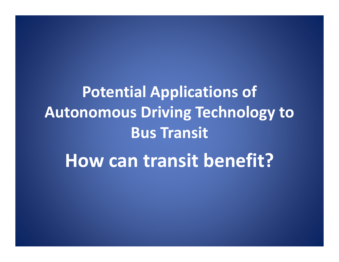**Potential Applications of Autonomous Driving Technology to Bus Transit**

**How can transit benefit?**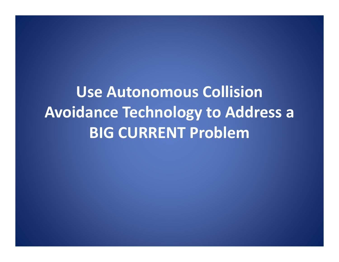**Use Autonomous CollisionAvoidance Technology to Address <sup>a</sup> BIG CURRENT Problem**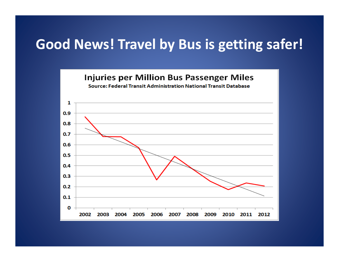#### **Good News! Travel by Bus is getting safer!**

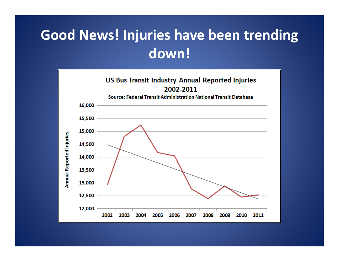### **Good News! Injuries have been trending down!**

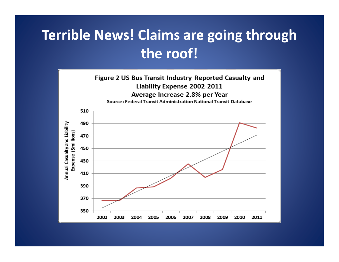### **Terrible News! Claims are going through the roof!**

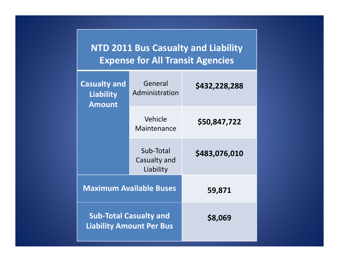#### **NTD 2011 Bus Casualty and Liability Expense for All Transit Agencies**

| <b>Casualty and</b><br><b>Liability</b><br><b>Amount</b>         | General<br>Administration              | \$432,228,288 |  |
|------------------------------------------------------------------|----------------------------------------|---------------|--|
|                                                                  | Vehicle<br>Maintenance                 | \$50,847,722  |  |
|                                                                  | Sub-Total<br>Casualty and<br>Liability | \$483,076,010 |  |
| <b>Maximum Available Buses</b>                                   |                                        | 59,871        |  |
| <b>Sub-Total Casualty and</b><br><b>Liability Amount Per Bus</b> |                                        | \$8,069       |  |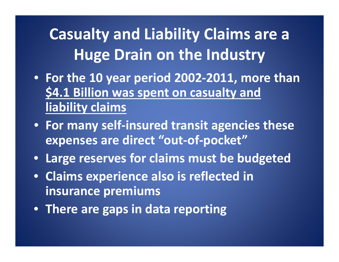**Casualty and Liability Claims are <sup>a</sup> Huge Drain on the Industry**

- **For the 10 year period 2002‐2011, more than \$4.1 Billion was spent on casualty and liability claims**
- **For many self‐insured transit agencies these expenses are direct "out‐of‐pocket"**
- **Large reserves for claims must be budgeted**
- **Claims experience also is reflected in insurance premiums**
- **There are gaps in data reporting**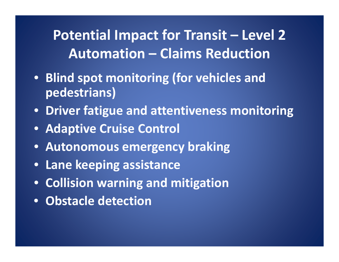**Potential Impact for Transit – Level 2 Automation – Claims Reduction**

- **Blind spot monitoring (for vehicles and pedestrians)**
- **Driver fatigue and attentiveness monitoring**
- **Adaptive Cruise Control**
- **Autonomous emergency braking**
- **Lane keeping assistance**
- **Collision warning and mitigation**
- **Obstacle detection**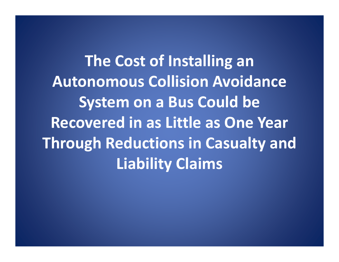**The Cost of Installing an Autonomous Collision Avoidance System on <sup>a</sup> Bus Could be Recovered in as Little as One Year Through Reductions in Casualty and Liability Claims**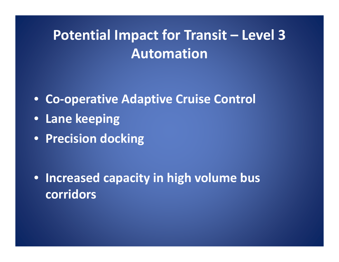### **Potential Impact for Transit – Level 3 Automation**

- **Co‐operative Adaptive Cruise Control**
- **Lane keeping**
- **Precision docking**

• **Increased capacity in high volume bus corridors**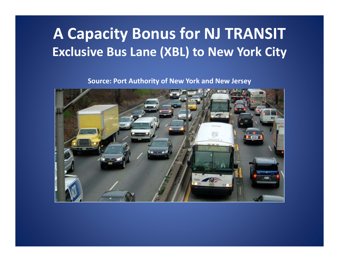### **A Capacity Bonus for NJ TRANSIT Exclusive Bus Lane (XBL) to New York City**

**Source: Port Authority of New York and New Jersey**

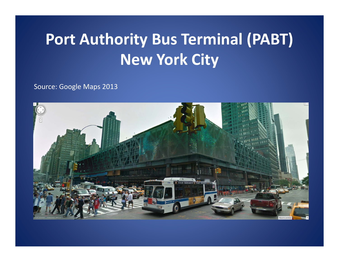## **Port Authority Bus Terminal (PABT) New York City**

Source: Google Maps 2013

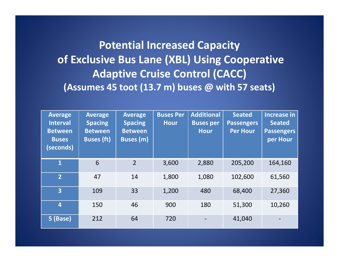#### **Potential Increased Capacity of Exclusive Bus Lane (XBL) Using Cooperative Adaptive Cruise Control (CACC) (Assumes 45 toot (13.7 m) buses @ with 57 seats)**

| <b>Average</b><br><b>Interval</b><br><b>Between</b><br><b>Buses</b><br>(seconds) | <b>Average</b><br><b>Spacing</b><br><b>Between</b><br><b>Buses (ft)</b> | <b>Average</b><br><b>Spacing</b><br><b>Between</b><br><b>Buses (m)</b> | <b>Buses Per</b><br><b>Hour</b> | <b>Additional</b><br><b>Buses per</b><br><b>Hour</b> | <b>Seated</b><br><b>Passengers</b><br><b>Per Hour</b> | <b>Increase in</b><br><b>Seated</b><br><b>Passengers</b><br>per Hour |
|----------------------------------------------------------------------------------|-------------------------------------------------------------------------|------------------------------------------------------------------------|---------------------------------|------------------------------------------------------|-------------------------------------------------------|----------------------------------------------------------------------|
| $\overline{\mathbf{1}}$                                                          | 6                                                                       | $\overline{2}$                                                         | 3,600                           | 2,880                                                | 205,200                                               | 164,160                                                              |
| $\overline{2}$                                                                   | 47                                                                      | 14                                                                     | 1,800                           | 1,080                                                | 102,600                                               | 61,560                                                               |
| $\overline{3}$                                                                   | 109                                                                     | 33                                                                     | 1,200                           | 480                                                  | 68,400                                                | 27,360                                                               |
| $\overline{4}$                                                                   | 150                                                                     | 46                                                                     | 900                             | 180                                                  | 51,300                                                | 10,260                                                               |
| 5 (Base)                                                                         | 212                                                                     | 64                                                                     | 720                             |                                                      | 41,040                                                |                                                                      |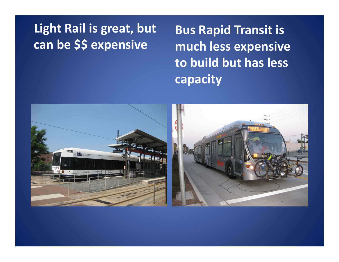#### **Light Rail is great, but can be \$\$ expensive**

**Bus Rapid Transit is much less expensive to build but has less capacity**

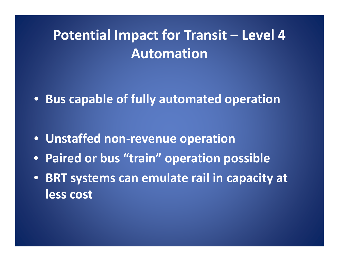### **Potential Impact for Transit – Level 4 Automation**

• **Bus capable of fully automated operation**

- **Unstaffed non‐revenue operation**
- **Paired or bus "train" operation possible**
- **BRT systems can emulate rail in capacity at less cost**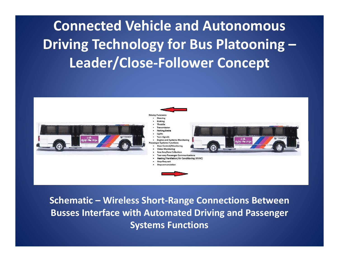**Connected Vehicle and Autonomous Driving Technology for Bus Platooning – Leader/Close‐Follower Concept**



**Schematic – Wireless Short‐Range Connections Between Busses Interface with Automated Driving and Passenger Systems Functions**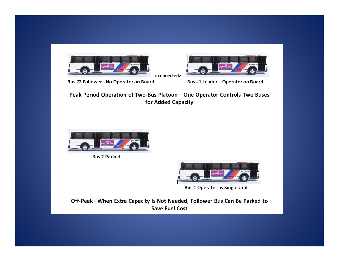

Bus #2 Follower - No Operator on Board

Bus #1 Leader - Operator on Board

Peak Period Operation of Two-Bus Platoon - One Operator Controls Two Buses for Added Capacity

< connected>



**Bus 2 Parked** 



**Bus 1 Operates as Single Unit** 

Off-Peak -When Extra Capacity Is Not Needed, Follower Bus Can Be Parked to **Save Fuel Cost**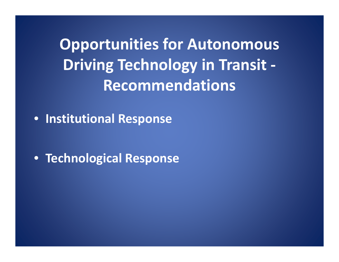**Opportunities for Autonomous Driving Technology in Transit ‐ Recommendations**

• **Institutional Response**

• **Technological Response**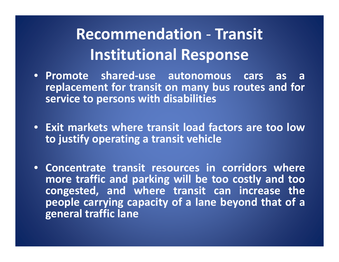#### **Recommendation Transit Institutional Response**

- **Promote shared ‐use autonomous cars as areplacement for transit on many bus routes and for service to persons with disabilities**
- **Exit markets where transit load factors are too low to justify operating <sup>a</sup> transit vehicle**
- **Concentrate transit resources in corridors wheremore traffic and parking will be too costly and too congested, and where transit can increase the people carrying capacity of <sup>a</sup> lane beyond that of <sup>a</sup> general traffic lane**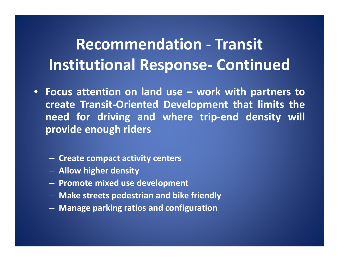#### **Recommendation Transit Institutional Response Continued**

- **Focus attention on land use – work with partners to create Transit ‐Oriented Development that limits the need for driving and where trip ‐end density will provide enough riders**
	- **Create compact activity centers**
	- **Allow higher density**
	- **Promote mixed use development**
	- **Make streets pedestrian and bike friendly**
	- **Manage parking ratios and configuration**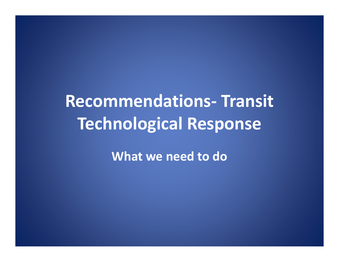#### **Recommendations ‐ Transit Technological Response**

**What we need to do**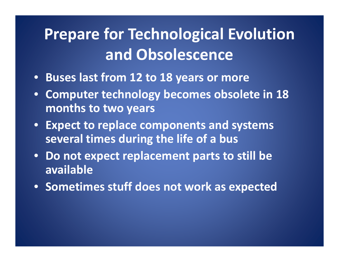## **Prepare for Technological Evolution and Obsolescence**

- **Buses last from 12 to 18 years or more**
- • **Computer technology becomes obsolete in 18 months to two years**
- **Expect to replace components and systems several times during the life of <sup>a</sup> bus**
- $\bullet$  **Do not expect replacement parts to still be available**
- **Sometimes stuff does not work as expected**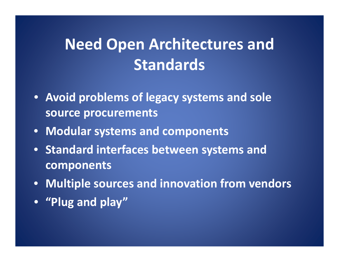## **Need Open Architectures and Standards**

- **Avoid problems of legacy systems and sole source procurements**
- **Modular systems and components**
- **Standard interfaces between systems and components**
- **Multiple sources and innovation from vendors**
- **"Plug and play"**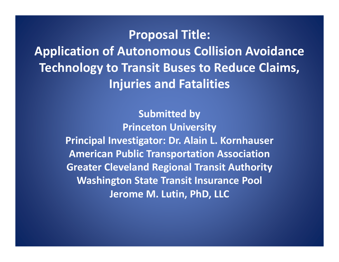#### **Proposal Title:**

**Application of Autonomous Collision Avoidance Technology to Transit Buses to Reduce Claims, Injuries and Fatalities**

> **Submitted by Princeton University Principal Investigator: Dr. Alain L. Kornhauser American Public Transportation Association Greater Cleveland Regional Transit Authority Washington State Transit Insurance Pool Jerome M. Lutin, PhD, LLC**